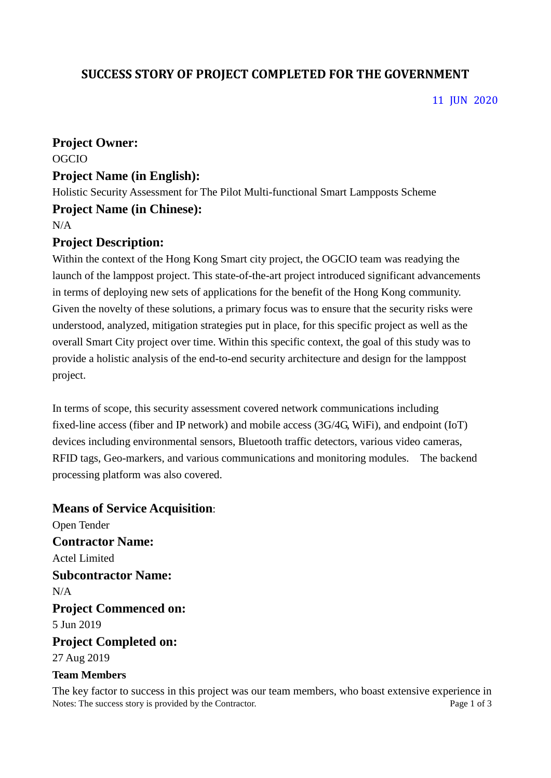# **SUCCESS STORY OF PROJECT COMPLETED FOR THE GOVERNMENT**

11 JUN 2020

#### **Project Owner:**

OGCIO

#### **Project Name (in English):**

Holistic Security Assessment for The Pilot Multi-functional Smart Lampposts Scheme

#### **Project Name (in Chinese):**

N/A

## **Project Description:**

Within the context of the Hong Kong Smart city project, the OGCIO team was readying the launch of the lamppost project. This state-of-the-art project introduced significant advancements in terms of deploying new sets of applications for the benefit of the Hong Kong community. Given the novelty of these solutions, a primary focus was to ensure that the security risks were understood, analyzed, mitigation strategies put in place, for this specific project as well as the overall Smart City project over time. Within this specific context, the goal of this study was to provide a holistic analysis of the end-to-end security architecture and design for the lamppost project.

In terms of scope, this security assessment covered network communications including fixed-line access (fiber and IP network) and mobile access (3G/4G, WiFi), and endpoint (IoT) devices including environmental sensors, Bluetooth traffic detectors, various video cameras, RFID tags, Geo-markers, and various communications and monitoring modules. The backend processing platform was also covered.

# **Means of Service Acquisition**: Open Tender

**Contractor Name:** Actel Limited **Subcontractor Name:** N/A **Project Commenced on:** 5 Jun 2019 **Project Completed on:** 27 Aug 2019 **Team Members**

Notes: The success story is provided by the Contractor. Page 1 of 3 The key factor to success in this project was our team members, who boast extensive experience in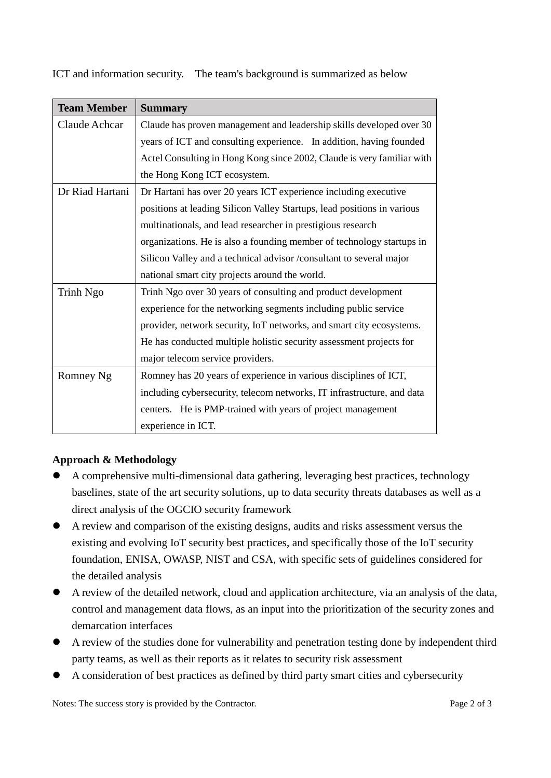ICT and information security. The team's background is summarized as below

| <b>Team Member</b> | <b>Summary</b>                                                          |
|--------------------|-------------------------------------------------------------------------|
| Claude Achcar      | Claude has proven management and leadership skills developed over 30    |
|                    | years of ICT and consulting experience. In addition, having founded     |
|                    | Actel Consulting in Hong Kong since 2002, Claude is very familiar with  |
|                    | the Hong Kong ICT ecosystem.                                            |
| Dr Riad Hartani    | Dr Hartani has over 20 years ICT experience including executive         |
|                    | positions at leading Silicon Valley Startups, lead positions in various |
|                    | multinationals, and lead researcher in prestigious research             |
|                    | organizations. He is also a founding member of technology startups in   |
|                    | Silicon Valley and a technical advisor /consultant to several major     |
|                    | national smart city projects around the world.                          |
| Trinh Ngo          | Trinh Ngo over 30 years of consulting and product development           |
|                    | experience for the networking segments including public service         |
|                    | provider, network security, IoT networks, and smart city ecosystems.    |
|                    | He has conducted multiple holistic security assessment projects for     |
|                    | major telecom service providers.                                        |
| Romney Ng          | Romney has 20 years of experience in various disciplines of ICT,        |
|                    | including cybersecurity, telecom networks, IT infrastructure, and data  |
|                    | centers. He is PMP-trained with years of project management             |
|                    | experience in ICT.                                                      |

## **Approach & Methodology**

- A comprehensive multi-dimensional data gathering, leveraging best practices, technology baselines, state of the art security solutions, up to data security threats databases as well as a direct analysis of the OGCIO security framework
- A review and comparison of the existing designs, audits and risks assessment versus the existing and evolving IoT security best practices, and specifically those of the IoT security foundation, ENISA, OWASP, NIST and CSA, with specific sets of guidelines considered for the detailed analysis
- A review of the detailed network, cloud and application architecture, via an analysis of the data, control and management data flows, as an input into the prioritization of the security zones and demarcation interfaces
- A review of the studies done for vulnerability and penetration testing done by independent third party teams, as well as their reports as it relates to security risk assessment
- A consideration of best practices as defined by third party smart cities and cybersecurity

Notes: The success story is provided by the Contractor. Page 2 of 3